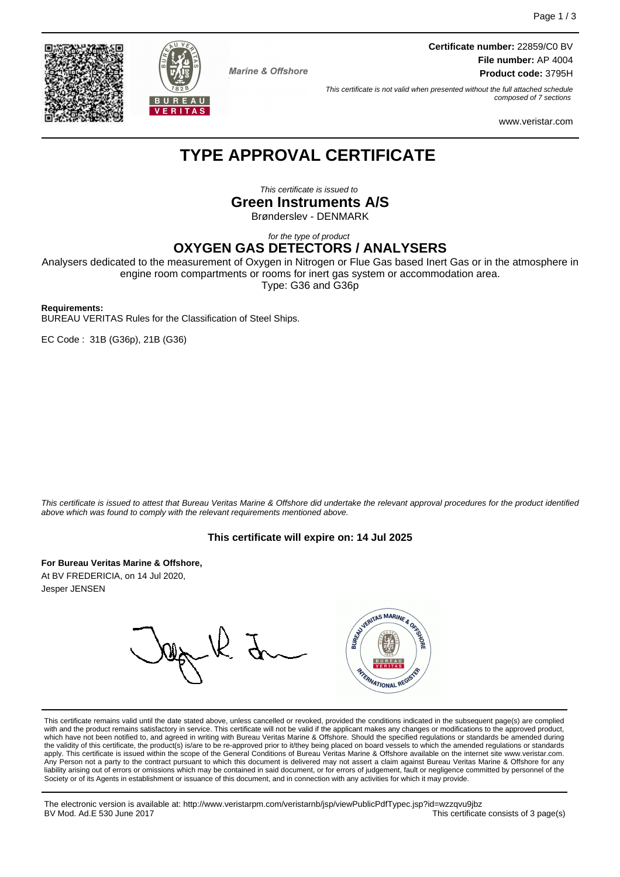**Certificate number:** 22859/C0 BV **File number:** AP 4004 **Product code:** 3795H

This certificate is not valid when presented without the full attached schedule composed of 7 sections

www.veristar.com

# **TYPE APPROVAL CERTIFICATE**

**Marine & Offshore** 

This certificate is issued to

**Green Instruments A/S**

Brønderslev - DENMARK

for the type of product

**OXYGEN GAS DETECTORS / ANALYSERS**

Analysers dedicated to the measurement of Oxygen in Nitrogen or Flue Gas based Inert Gas or in the atmosphere in engine room compartments or rooms for inert gas system or accommodation area.

Type: G36 and G36p

#### **Requirements:**

BUREAU VERITAS Rules for the Classification of Steel Ships.

EC Code : 31B (G36p), 21B (G36)

This certificate is issued to attest that Bureau Veritas Marine & Offshore did undertake the relevant approval procedures for the product identified above which was found to comply with the relevant requirements mentioned above.

#### **This certificate will expire on: 14 Jul 2025**

**For Bureau Veritas Marine & Offshore,**

At BV FREDERICIA, on 14 Jul 2020, Jesper JENSEN

WARTAS MARINE & OR RANATIONAL REGI

This certificate remains valid until the date stated above, unless cancelled or revoked, provided the conditions indicated in the subsequent page(s) are complied with and the product remains satisfactory in service. This certificate will not be valid if the applicant makes any changes or modifications to the approved product, which have not been notified to, and agreed in writing with Bureau Veritas Marine & Offshore. Should the specified regulations or standards be amended during<br>the validity of this certificate, the product(s) is/are to be re apply. This certificate is issued within the scope of the General Conditions of Bureau Veritas Marine & Offshore available on the internet site www.veristar.com. Any Person not a party to the contract pursuant to which this document is delivered may not assert a claim against Bureau Veritas Marine & Offshore for any liability arising out of errors or omissions which may be contained in said document, or for errors of judgement, fault or negligence committed by personnel of the<br>Society or of its Agents in establishment or issuance of t

The electronic version is available at: http://www.veristarpm.com/veristarnb/jsp/viewPublicPdfTypec.jsp?id=wzzqvu9jbz BV Mod. Ad.E 530 June 2017 **This certificate consists of 3 page(s) BV Mod. Ad.E 530 June 2017** 



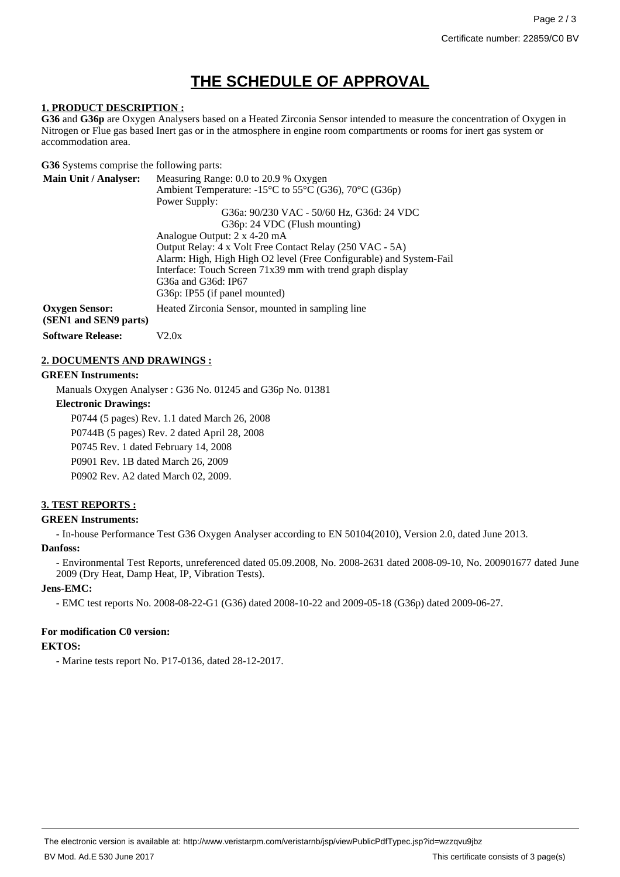# **THE SCHEDULE OF APPROVAL**

#### **1. PRODUCT DESCRIPTION :**

**G36** and **G36p** are Oxygen Analysers based on a Heated Zirconia Sensor intended to measure the concentration of Oxygen in Nitrogen or Flue gas based Inert gas or in the atmosphere in engine room compartments or rooms for inert gas system or accommodation area.

**G36** Systems comprise the following parts:

| <b>Main Unit / Analyser:</b>                   | Measuring Range: 0.0 to 20.9 % Oxygen                               |
|------------------------------------------------|---------------------------------------------------------------------|
|                                                | Ambient Temperature: -15°C to 55°C (G36), 70°C (G36p)               |
|                                                | Power Supply:                                                       |
|                                                | G36a: 90/230 VAC - 50/60 Hz, G36d: 24 VDC                           |
|                                                | G36p: 24 VDC (Flush mounting)                                       |
|                                                | Analogue Output: 2 x 4-20 mA                                        |
|                                                | Output Relay: 4 x Volt Free Contact Relay (250 VAC - 5A)            |
|                                                | Alarm: High, High High O2 level (Free Configurable) and System-Fail |
|                                                | Interface: Touch Screen 71x39 mm with trend graph display           |
|                                                | G36a and G36d: IP67                                                 |
|                                                | G36p: IP55 (if panel mounted)                                       |
| <b>Oxygen Sensor:</b><br>(SEN1 and SEN9 parts) | Heated Zirconia Sensor, mounted in sampling line                    |
| <b>Software Release:</b>                       | V2.0x                                                               |

# **2. DOCUMENTS AND DRAWINGS :**

#### **GREEN Instruments:**

Manuals Oxygen Analyser : G36 No. 01245 and G36p No. 01381

#### **Electronic Drawings:**

P0744 (5 pages) Rev. 1.1 dated March 26, 2008 P0744B (5 pages) Rev. 2 dated April 28, 2008 P0745 Rev. 1 dated February 14, 2008

P0901 Rev. 1B dated March 26, 2009

P0902 Rev. A2 dated March 02, 2009.

# **3. TEST REPORTS :**

# **GREEN Instruments:**

- In-house Performance Test G36 Oxygen Analyser according to EN 50104(2010), Version 2.0, dated June 2013.

#### **Danfoss:**

- Environmental Test Reports, unreferenced dated 05.09.2008, No. 2008-2631 dated 2008-09-10, No. 200901677 dated June 2009 (Dry Heat, Damp Heat, IP, Vibration Tests).

# **Jens-EMC:**

- EMC test reports No. 2008-08-22-G1 (G36) dated 2008-10-22 and 2009-05-18 (G36p) dated 2009-06-27.

# **For modification C0 version:**

# **EKTOS:**

- Marine tests report No. P17-0136, dated 28-12-2017.